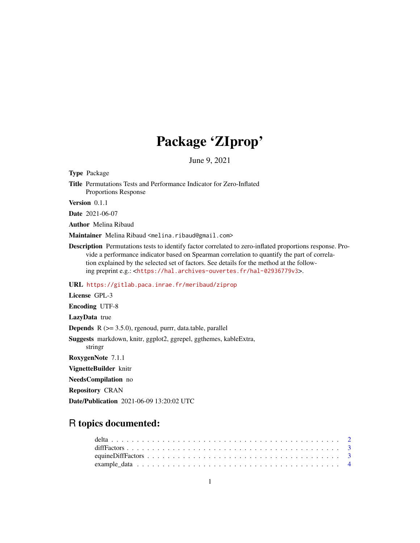## Package 'ZIprop'

June 9, 2021

<span id="page-0-0"></span>Type Package

Title Permutations Tests and Performance Indicator for Zero-Inflated Proportions Response

Version 0.1.1

Date 2021-06-07

Author Melina Ribaud

Maintainer Melina Ribaud <melina.ribaud@gmail.com>

Description Permutations tests to identify factor correlated to zero-inflated proportions response. Provide a performance indicator based on Spearman correlation to quantify the part of correlation explained by the selected set of factors. See details for the method at the following preprint e.g.: <<https://hal.archives-ouvertes.fr/hal-02936779v3>>.

URL <https://gitlab.paca.inrae.fr/meribaud/ziprop>

License GPL-3

Encoding UTF-8

LazyData true

Depends R (>= 3.5.0), rgenoud, purrr, data.table, parallel

Suggests markdown, knitr, ggplot2, ggrepel, ggthemes, kableExtra,

stringr RoxygenNote 7.1.1

VignetteBuilder knitr

NeedsCompilation no

Repository CRAN

Date/Publication 2021-06-09 13:20:02 UTC

## R topics documented: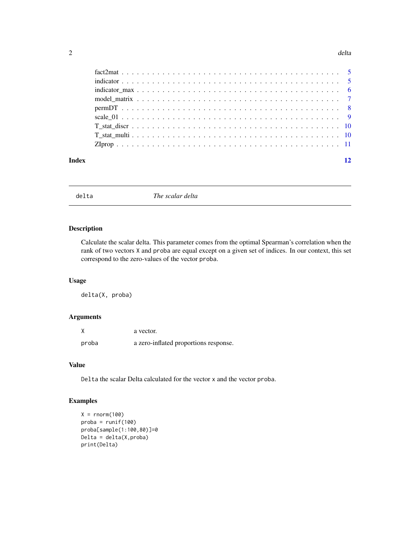### <span id="page-1-0"></span> $2$  delta

| Index |  |
|-------|--|

delta *The scalar delta*

### Description

Calculate the scalar delta. This parameter comes from the optimal Spearman's correlation when the rank of two vectors X and proba are equal except on a given set of indices. In our context, this set correspond to the zero-values of the vector proba.

### Usage

delta(X, proba)

### Arguments

| X     | a vector.                             |
|-------|---------------------------------------|
| proba | a zero-inflated proportions response. |

### Value

Delta the scalar Delta calculated for the vector x and the vector proba.

### Examples

```
X = rnorm(100)proba = runif(100)
proba[sample(1:100,80)]=0
Delta = delta(X,proba)
print(Delta)
```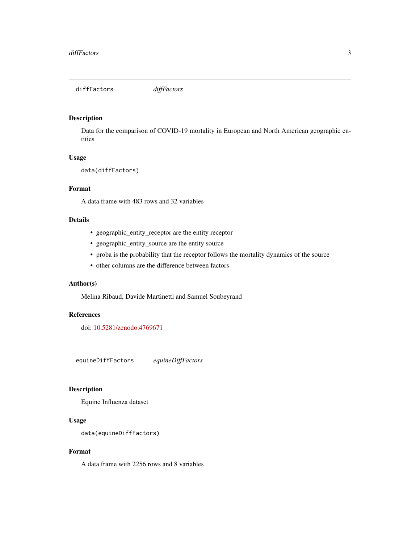<span id="page-2-0"></span>diffFactors *diffFactors*

### Description

Data for the comparison of COVID-19 mortality in European and North American geographic entities

### Usage

data(diffFactors)

### Format

A data frame with 483 rows and 32 variables

### Details

- geographic\_entity\_receptor are the entity receptor
- geographic\_entity\_source are the entity source
- proba is the probability that the receptor follows the mortality dynamics of the source
- other columns are the difference between factors

### Author(s)

Melina Ribaud, Davide Martinetti and Samuel Soubeyrand

### References

doi: [10.5281/zenodo.4769671](https://doi.org/10.5281/zenodo.4769671)

equineDiffFactors *equineDiffFactors*

### Description

Equine Influenza dataset

### Usage

```
data(equineDiffFactors)
```
### Format

A data frame with 2256 rows and 8 variables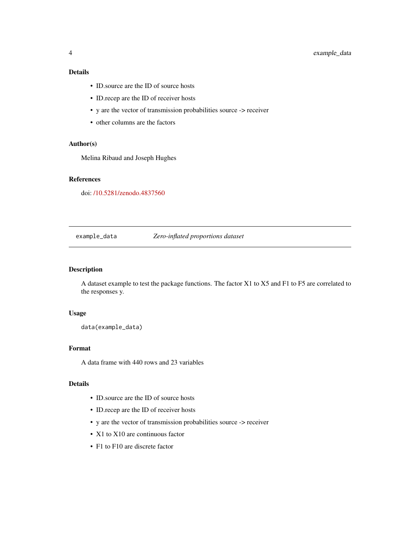### <span id="page-3-0"></span>Details

- ID.source are the ID of source hosts
- ID.recep are the ID of receiver hosts
- y are the vector of transmission probabilities source -> receiver
- other columns are the factors

### Author(s)

Melina Ribaud and Joseph Hughes

### References

doi: [/10.5281/zenodo.4837560](https://doi.org//10.5281/zenodo.4837560)

### example\_data *Zero-inflated proportions dataset*

### Description

A dataset example to test the package functions. The factor X1 to X5 and F1 to F5 are correlated to the responses y.

### Usage

```
data(example_data)
```
### Format

A data frame with 440 rows and 23 variables

### Details

- ID.source are the ID of source hosts
- ID.recep are the ID of receiver hosts
- y are the vector of transmission probabilities source -> receiver
- X1 to X10 are continuous factor
- F1 to F10 are discrete factor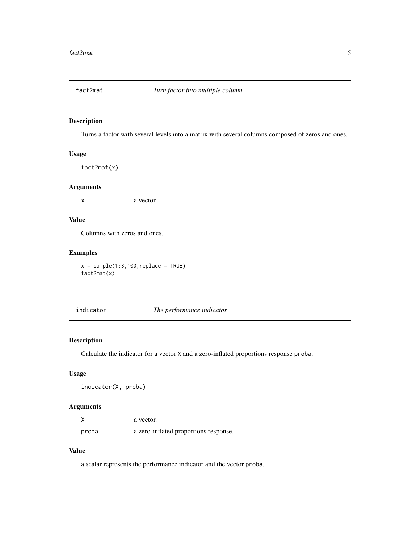<span id="page-4-0"></span>

### Description

Turns a factor with several levels into a matrix with several columns composed of zeros and ones.

### Usage

fact2mat(x)

### Arguments

x a vector.

### Value

Columns with zeros and ones.

### Examples

 $x = sample(1:3,100,replace = TRUE)$ fact2mat(x)

indicator *The performance indicator*

### Description

Calculate the indicator for a vector X and a zero-inflated proportions response proba.

### Usage

indicator(X, proba)

### Arguments

| X     | a vector.                             |
|-------|---------------------------------------|
| proba | a zero-inflated proportions response. |

### Value

a scalar represents the performance indicator and the vector proba.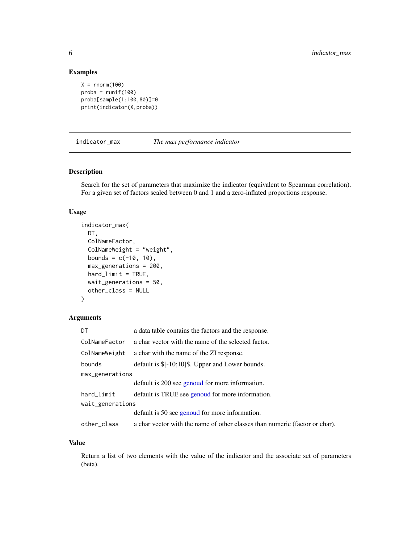### <span id="page-5-0"></span>Examples

```
X = rnorm(100)prob = runif(100)proba[sample(1:100,80)]=0
print(indicator(X,proba))
```
indicator\_max *The max performance indicator*

### Description

Search for the set of parameters that maximize the indicator (equivalent to Spearman correlation). For a given set of factors scaled between 0 and 1 and a zero-inflated proportions response.

### Usage

```
indicator_max(
 DT,
 ColNameFactor,
  ColNameWeight = "weight",
 bounds = c(-10, 10),
 max_generations = 200,
 hard_limit = TRUE,
 wait_generations = 50,
 other_class = NULL
\lambda
```
### Arguments

| DT               | a data table contains the factors and the response.                         |  |  |  |  |
|------------------|-----------------------------------------------------------------------------|--|--|--|--|
| ColNameFactor    | a char vector with the name of the selected factor.                         |  |  |  |  |
| ColNameWeight    | a char with the name of the ZI response.                                    |  |  |  |  |
| bounds           | default is $\[-10, 10\]$ . Upper and Lower bounds.                          |  |  |  |  |
| max_generations  |                                                                             |  |  |  |  |
|                  | default is 200 see genoud for more information.                             |  |  |  |  |
| hard_limit       | default is TRUE see genoud for more information.                            |  |  |  |  |
| wait_generations |                                                                             |  |  |  |  |
|                  | default is 50 see genoud for more information.                              |  |  |  |  |
| other_class      | a char vector with the name of other classes than numeric (factor or char). |  |  |  |  |
|                  |                                                                             |  |  |  |  |

### Value

Return a list of two elements with the value of the indicator and the associate set of parameters (beta).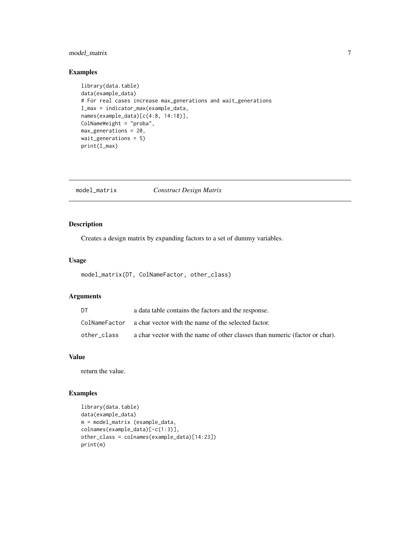### <span id="page-6-0"></span>model\_matrix 7

### Examples

```
library(data.table)
data(example_data)
# For real cases increase max_generations and wait_generations
I_max = indicator_max(example_data,
names(example_data)[c(4:8, 14:18)],
ColNameWeight = "proba",
max_generations = 20,
wait_generations = 5)
print(I_max)
```
model\_matrix *Construct Design Matrix*

### Description

Creates a design matrix by expanding factors to a set of dummy variables.

### Usage

```
model_matrix(DT, ColNameFactor, other_class)
```
### Arguments

| DT          | a data table contains the factors and the response.                         |
|-------------|-----------------------------------------------------------------------------|
|             | ColNameFactor a char vector with the name of the selected factor.           |
| other class | a char vector with the name of other classes than numeric (factor or char). |

### Value

return the value.

### Examples

```
library(data.table)
data(example_data)
m = model_matrix (example_data,
colnames(example_data)[-c(1:3)],
other_class = colnames(example_data)[14:23])
print(m)
```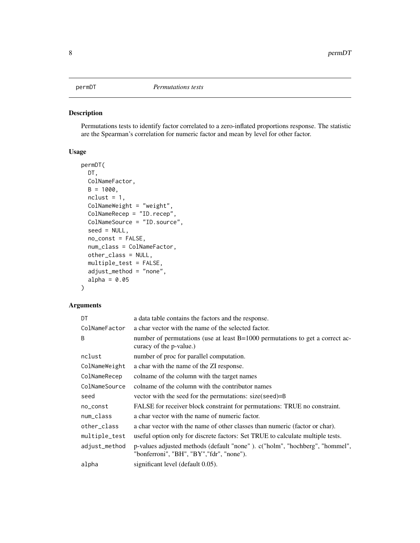### <span id="page-7-0"></span>Description

Permutations tests to identify factor correlated to a zero-inflated proportions response. The statistic are the Spearman's correlation for numeric factor and mean by level for other factor.

### Usage

```
permDT(
 DT,
  ColNameFactor,
 B = 1000,ncluster = 1,
  ColNameWeight = "weight",
  ColNameRecep = "ID.recep",
  ColNameSource = "ID.source",
  seed = NULL,
  no_const = FALSE,
  num_class = ColNameFactor,
  other_class = NULL,
 multiple_test = FALSE,
  adjust_method = "none",
  alpha = 0.05)
```
### Arguments

| DT            | a data table contains the factors and the response.                                                                      |
|---------------|--------------------------------------------------------------------------------------------------------------------------|
| ColNameFactor | a char vector with the name of the selected factor.                                                                      |
| B             | number of permutations (use at least B=1000 permutations to get a correct ac-<br>curacy of the p-value.)                 |
| nclust        | number of proc for parallel computation.                                                                                 |
| ColNameWeight | a char with the name of the ZI response.                                                                                 |
| ColNameRecep  | colname of the column with the target names                                                                              |
| ColNameSource | colname of the column with the contributor names                                                                         |
| seed          | vector with the seed for the permutations: size(seed)=B                                                                  |
| no_const      | FALSE for receiver block constraint for permutations: TRUE no constraint.                                                |
| num_class     | a char vector with the name of numeric factor.                                                                           |
| other_class   | a char vector with the name of other classes than numeric (factor or char).                                              |
| multiple_test | useful option only for discrete factors: Set TRUE to calculate multiple tests.                                           |
| adjust_method | p-values adjusted methods (default "none"). c("holm", "hochberg", "hommel",<br>"bonferroni", "BH", "BY", "fdr", "none"). |
| alpha         | significant level (default 0.05).                                                                                        |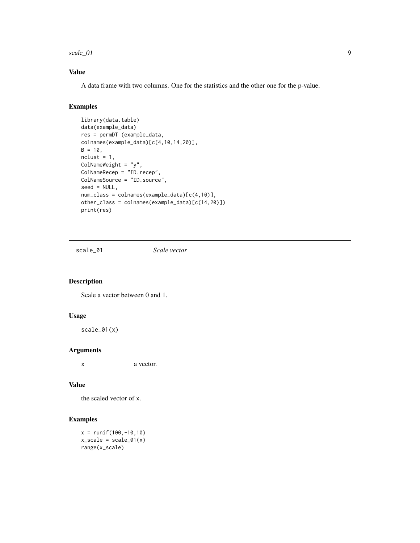<span id="page-8-0"></span>scale\_01 99

### Value

A data frame with two columns. One for the statistics and the other one for the p-value.

### Examples

```
library(data.table)
data(example_data)
res = permDT (example_data,
colnames(example_data)[c(4,10,14,20)],
B = 10,
ncluster = 1,
ColNameWeight = "y",
ColNameRecep = "ID.recep",
ColNameSource = "ID.source",
seed = NULL,
num_class = colnames(example_data)[c(4,10)],
other_class = colnames(example_data)[c(14,20)])
print(res)
```
scale\_01 *Scale vector*

### Description

Scale a vector between 0 and 1.

### Usage

scale\_01(x)

### Arguments

x a vector.

### Value

the scaled vector of x.

### Examples

 $x = runif(100, -10, 10)$  $x$ \_scale = scale\_01(x) range(x\_scale)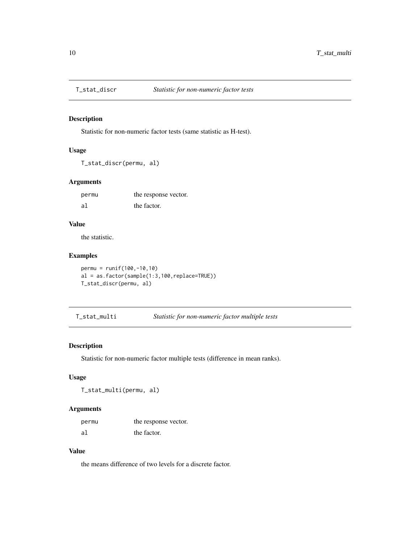<span id="page-9-0"></span>

### Description

Statistic for non-numeric factor tests (same statistic as H-test).

### Usage

T\_stat\_discr(permu, al)

### Arguments

| permu | the response vector. |
|-------|----------------------|
| al    | the factor.          |

### Value

the statistic.

### Examples

```
permu = runif(100,-10,10)
al = as.factor(sample(1:3,100,replace=TRUE))
T_stat_discr(permu, al)
```
T\_stat\_multi *Statistic for non-numeric factor multiple tests*

### Description

Statistic for non-numeric factor multiple tests (difference in mean ranks).

### Usage

T\_stat\_multi(permu, al)

### Arguments

| permu | the response vector. |
|-------|----------------------|
| al    | the factor.          |

### Value

the means difference of two levels for a discrete factor.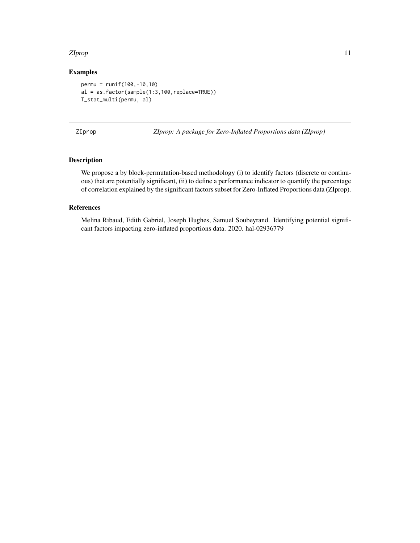### <span id="page-10-0"></span>zIprop the contract of the contract of the contract of the contract of the contract of the contract of the contract of the contract of the contract of the contract of the contract of the contract of the contract of the con

### Examples

```
permu = runif(100,-10,10)
al = as.factor(sample(1:3,100,replace=TRUE))
T_stat_multi(permu, al)
```

ZIprop *ZIprop: A package for Zero-Inflated Proportions data (ZIprop)*

### Description

We propose a by block-permutation-based methodology (i) to identify factors (discrete or continuous) that are potentially significant, (ii) to define a performance indicator to quantify the percentage of correlation explained by the significant factors subset for Zero-Inflated Proportions data (ZIprop).

### References

Melina Ribaud, Edith Gabriel, Joseph Hughes, Samuel Soubeyrand. Identifying potential significant factors impacting zero-inflated proportions data. 2020. hal-02936779